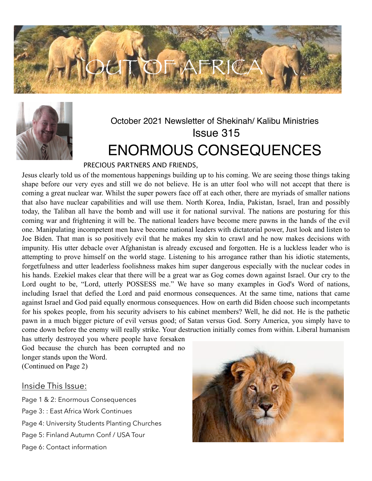



# October 2021 Newsletter of Shekinah/ Kalibu Ministries Issue 315 ENORMOUS CONSEQUENCES

### PRECIOUS PARTNERS AND FRIENDS,

Jesus clearly told us of the momentous happenings building up to his coming. We are seeing those things taking shape before our very eyes and still we do not believe. He is an utter fool who will not accept that there is coming a great nuclear war. Whilst the super powers face off at each other, there are myriads of smaller nations that also have nuclear capabilities and will use them. North Korea, India, Pakistan, Israel, Iran and possibly today, the Taliban all have the bomb and will use it for national survival. The nations are posturing for this coming war and frightening it will be. The national leaders have become mere pawns in the hands of the evil one. Manipulating incompetent men have become national leaders with dictatorial power, Just look and listen to Joe Biden. That man is so positively evil that he makes my skin to crawl and he now makes decisions with impunity. His utter debacle over Afghanistan is already excused and forgotten. He is a luckless leader who is attempting to prove himself on the world stage. Listening to his arrogance rather than his idiotic statements, forgetfulness and utter leaderless foolishness makes him super dangerous especially with the nuclear codes in his hands. Ezekiel makes clear that there will be a great war as Gog comes down against Israel. Our cry to the Lord ought to be, "Lord, utterly POSSESS me." We have so many examples in God's Word of nations, including Israel that defied the Lord and paid enormous consequences. At the same time, nations that came against Israel and God paid equally enormous consequences. How on earth did Biden choose such incompetants for his spokes people, from his security advisers to his cabinet members? Well, he did not. He is the pathetic pawn in a much bigger picture of evil versus good; of Satan versus God. Sorry America, you simply have to come down before the enemy will really strike. Your destruction initially comes from within. Liberal humanism

has utterly destroyed you where people have forsaken God because the church has been corrupted and no longer stands upon the Word. (Continued on Page 2)

#### Inside This Issue:

Page 1 & 2: Enormous Consequences Page 3: : East Africa Work Continues Page 4: University Students Planting Churches Page 5: Finland Autumn Conf / USA Tour Page 6: Contact information

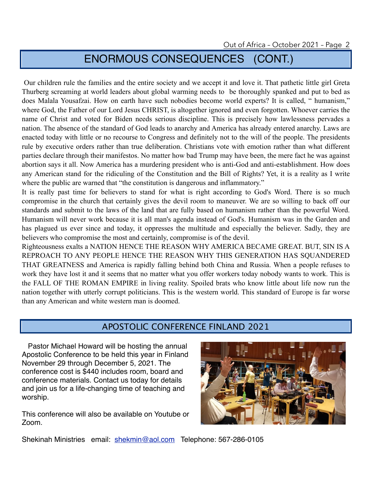# ENORMOUS CONSEQUENCES (CONT.)

 Our children rule the families and the entire society and we accept it and love it. That pathetic little girl Greta Thurberg screaming at world leaders about global warming needs to be thoroughly spanked and put to bed as does Malala Yousafzai. How on earth have such nobodies become world experts? It is called, " humanism," where God, the Father of our Lord Jesus CHRIST, is altogether ignored and even forgotten. Whoever carries the name of Christ and voted for Biden needs serious discipline. This is precisely how lawlessness pervades a nation. The absence of the standard of God leads to anarchy and America has already entered anarchy. Laws are enacted today with little or no recourse to Congress and definitely not to the will of the people. The presidents rule by executive orders rather than true deliberation. Christians vote with emotion rather than what different parties declare through their manifestos. No matter how bad Trump may have been, the mere fact he was against abortion says it all. Now America has a murdering president who is anti-God and anti-establishment. How does any American stand for the ridiculing of the Constitution and the Bill of Rights? Yet, it is a reality as I write where the public are warned that "the constitution is dangerous and inflammatory."

It is really past time for believers to stand for what is right according to God's Word. There is so much compromise in the church that certainly gives the devil room to maneuver. We are so willing to back off our standards and submit to the laws of the land that are fully based on humanism rather than the powerful Word. Humanism will never work because it is all man's agenda instead of God's. Humanism was in the Garden and has plagued us ever since and today, it oppresses the multitude and especially the believer. Sadly, they are believers who compromise the most and certainly, compromise is of the devil.

Righteousness exalts a NATION HENCE THE REASON WHY AMERICA BECAME GREAT. BUT, SIN IS A REPROACH TO ANY PEOPLE HENCE THE REASON WHY THIS GENERATION HAS SQUANDERED THAT GREATNESS and America is rapidly falling behind both China and Russia. When a people refuses to work they have lost it and it seems that no matter what you offer workers today nobody wants to work. This is the FALL OF THE ROMAN EMPIRE in living reality. Spoiled brats who know little about life now run the nation together with utterly corrupt politicians. This is the western world. This standard of Europe is far worse than any American and white western man is doomed.

### APOSTOLIC CONFERENCE FINLAND 2021

 Pastor Michael Howard will be hosting the annual Apostolic Conference to be held this year in Finland November 29 through December 5, 2021. The conference cost is \$440 includes room, board and conference materials. Contact us today for details and join us for a life-changing time of teaching and worship.

This conference will also be available on Youtube or Zoom.



Shekinah Ministries email: **[shekmin@aol.com](mailto:shekmin@aol.com) Telephone: 567-286-0105**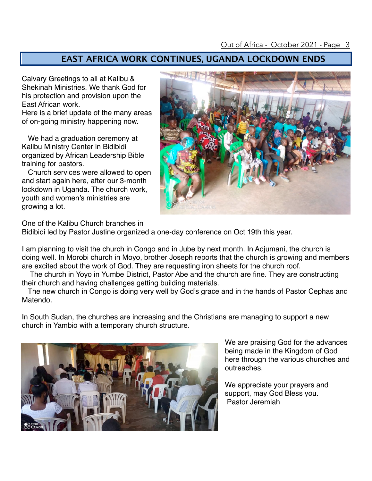## **EAST AFRICA WORK CONTINUES, UGANDA LOCKDOWN ENDS**

Calvary Greetings to all at Kalibu & Shekinah Ministries. We thank God for his protection and provision upon the East African work.

Here is a brief update of the many areas of on-going ministry happening now.

 We had a graduation ceremony at Kalibu Ministry Center in Bidibidi organized by African Leadership Bible training for pastors.

 Church services were allowed to open and start again here, after our 3-month lockdown in Uganda. The church work, youth and women's ministries are growing a lot.



One of the Kalibu Church branches in

Bidibidi led by Pastor Justine organized a one-day conference on Oct 19th this year.

I am planning to visit the church in Congo and in Jube by next month. In Adjumani, the church is doing well. In Morobi church in Moyo, brother Joseph reports that the church is growing and members are excited about the work of God. They are requesting iron sheets for the church roof.

 The church in Yoyo in Yumbe District, Pastor Abe and the church are fine. They are constructing their church and having challenges getting building materials.

 The new church in Congo is doing very well by God's grace and in the hands of Pastor Cephas and Matendo.

In South Sudan, the churches are increasing and the Christians are managing to support a new church in Yambio with a temporary church structure.



We are praising God for the advances being made in the Kingdom of God here through the various churches and outreaches.

We appreciate your prayers and support, may God Bless you. Pastor Jeremiah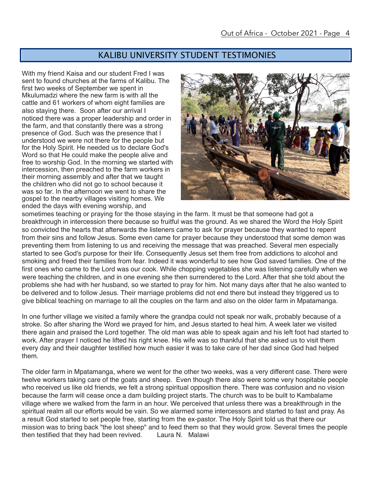### KALIBU UNIVERSITY STUDENT TESTIMONIES

With my friend Kaisa and our student Fred I was sent to found churches at the farms of Kalibu. The first two weeks of September we spent in Mkulumadzi where the new farm is with all the cattle and 61 workers of whom eight families are also staying there. Soon after our arrival I noticed there was a proper leadership and order in the farm, and that constantly there was a strong presence of God. Such was the presence that I understood we were not there for the people but for the Holy Spirit. He needed us to declare God's Word so that He could make the people alive and free to worship God. In the morning we started with intercession, then preached to the farm workers in their morning assembly and after that we taught the children who did not go to school because it was so far. In the afternoon we went to share the gospel to the nearby villages visiting homes. We ended the days with evening worship, and



sometimes teaching or praying for the those staying in the farm. It must be that someone had got a breakthrough in intercession there because so fruitful was the ground. As we shared the Word the Holy Spirit so convicted the hearts that afterwards the listeners came to ask for prayer because they wanted to repent from their sins and follow Jesus. Some even came for prayer because they understood that some demon was preventing them from listening to us and receiving the message that was preached. Several men especially started to see God's purpose for their life. Consequently Jesus set them free from addictions to alcohol and smoking and freed their families from fear. Indeed it was wonderful to see how God saved families. One of the first ones who came to the Lord was our cook. While chopping vegetables she was listening carefully when we were teaching the children, and in one evening she then surrendered to the Lord. After that she told about the problems she had with her husband, so we started to pray for him. Not many days after that he also wanted to be delivered and to follow Jesus. Their marriage problems did not end there but instead they triggered us to give biblical teaching on marriage to all the couples on the farm and also on the older farm in Mpatamanga.

In one further village we visited a family where the grandpa could not speak nor walk, probably because of a stroke. So after sharing the Word we prayed for him, and Jesus started to heal him. A week later we visited there again and praised the Lord together. The old man was able to speak again and his left foot had started to work. After prayer I noticed he lifted his right knee. His wife was so thankful that she asked us to visit them every day and their daughter testified how much easier it was to take care of her dad since God had helped them.

The older farm in Mpatamanga, where we went for the other two weeks, was a very different case. There were twelve workers taking care of the goats and sheep. Even though there also were some very hospitable people who received us like old friends, we felt a strong spiritual opposition there. There was confusion and no vision because the farm will cease once a dam building project starts. The church was to be built to Kambalame village where we walked from the farm in an hour. We perceived that unless there was a breakthrough in the spiritual realm all our efforts would be vain. So we alarmed some intercessors and started to fast and pray. As a result God started to set people free, starting from the ex-pastor. The Holy Spirit told us that there our mission was to bring back "the lost sheep" and to feed them so that they would grow. Several times the people then testified that they had been revived. Laura N. Malawi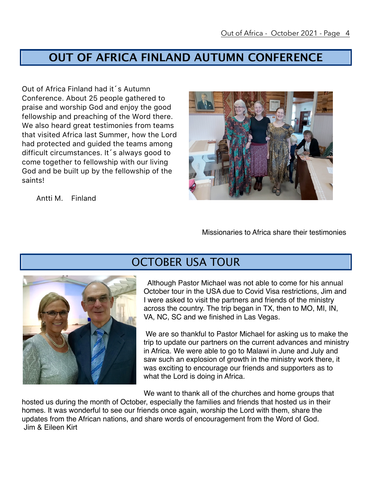## **OUT OF AFRICA FINLAND AUTUMN CONFERENCE**

Out of Africa Finland had it´s Autumn Conference. About 25 people gathered to praise and worship God and enjoy the good fellowship and preaching of the Word there. We also heard great testimonies from teams that visited Africa last Summer, how the Lord had protected and guided the teams among difficult circumstances. It´s always good to come together to fellowship with our living God and be built up by the fellowship of the saints!

Antti M. Finland

Missionaries to Africa share their testimonies



## OCTOBER USA TOUR

 Although Pastor Michael was not able to come for his annual October tour in the USA due to Covid Visa restrictions, Jim and I were asked to visit the partners and friends of the ministry across the country. The trip began in TX, then to MO, MI, IN, VA, NC, SC and we finished in Las Vegas.

 We are so thankful to Pastor Michael for asking us to make the trip to update our partners on the current advances and ministry in Africa. We were able to go to Malawi in June and July and saw such an explosion of growth in the ministry work there, it was exciting to encourage our friends and supporters as to what the Lord is doing in Africa.

 We want to thank all of the churches and home groups that hosted us during the month of October, especially the families and friends that hosted us in their homes. It was wonderful to see our friends once again, worship the Lord with them, share the updates from the African nations, and share words of encouragement from the Word of God. Jim & Eileen Kirt